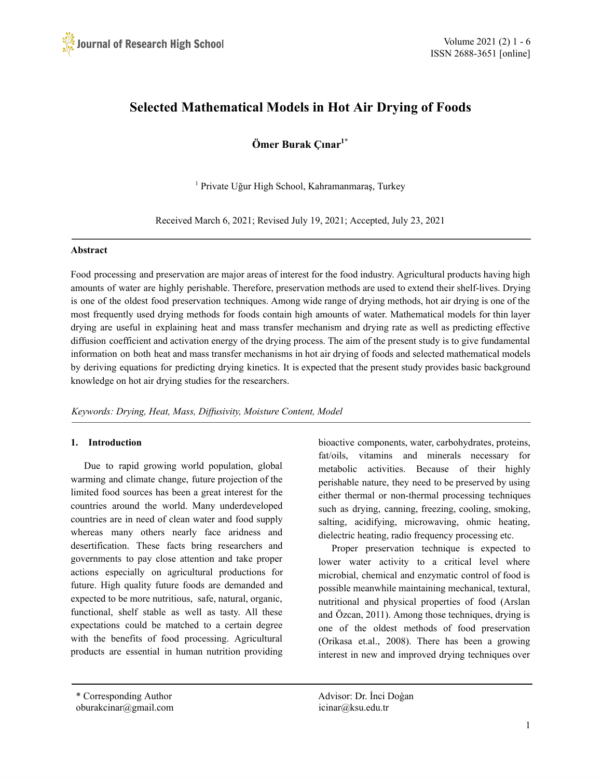

# **Selected Mathematical Models in Hot Air Drying of Foods**

**Ömer Burak Çınar 1\***

<sup>1</sup> Private Uğur High School, Kahramanmaraş, Turkey

Received March 6, 2021; Revised July 19, 2021; Accepted, July 23, 2021

# **Abstract**

Food processing and preservation are major areas of interest for the food industry. Agricultural products having high amounts of water are highly perishable. Therefore, preservation methods are used to extend their shelf-lives. Drying is one of the oldest food preservation techniques. Among wide range of drying methods, hot air drying is one of the most frequently used drying methods for foods contain high amounts of water. Mathematical models for thin layer drying are useful in explaining heat and mass transfer mechanism and drying rate as well as predicting effective diffusion coefficient and activation energy of the drying process. The aim of the present study is to give fundamental information on both heat and mass transfer mechanisms in hot air drying of foods and selected mathematical models by deriving equations for predicting drying kinetics. It is expected that the present study provides basic background knowledge on hot air drying studies for the researchers.

*Keywords: Drying, Heat, Mass, Dif usivity, Moisture Content, Model*

# **1. Introduction**

Due to rapid growing world population, global warming and climate change, future projection of the limited food sources has been a great interest for the countries around the world. Many underdeveloped countries are in need of clean water and food supply whereas many others nearly face aridness and desertification. These facts bring researchers and governments to pay close attention and take proper actions especially on agricultural productions for future. High quality future foods are demanded and expected to be more nutritious, safe, natural, organic, functional, shelf stable as well as tasty. All these expectations could be matched to a certain degree with the benefits of food processing. Agricultural products are essential in human nutrition providing

bioactive components, water, carbohydrates, proteins, fat/oils, vitamins and minerals necessary for metabolic activities. Because of their highly perishable nature, they need to be preserved by using either thermal or non-thermal processing techniques such as drying, canning, freezing, cooling, smoking, salting, acidifying, microwaving, ohmic heating, dielectric heating, radio frequency processing etc.

Proper preservation technique is expected to lower water activity to a critical level where microbial, chemical and enzymatic control of food is possible meanwhile maintaining mechanical, textural, nutritional and physical properties of food (Arslan and Özcan, 2011). Among those techniques, drying is one of the oldest methods of food preservation (Orikasa et.al., 2008). There has been a growing interest in new and improved drying techniques over

\* Corresponding Author **Advisor: Dr. İnci Doğan** oburakcinar@gmail.com icinar@ksu.edu.tr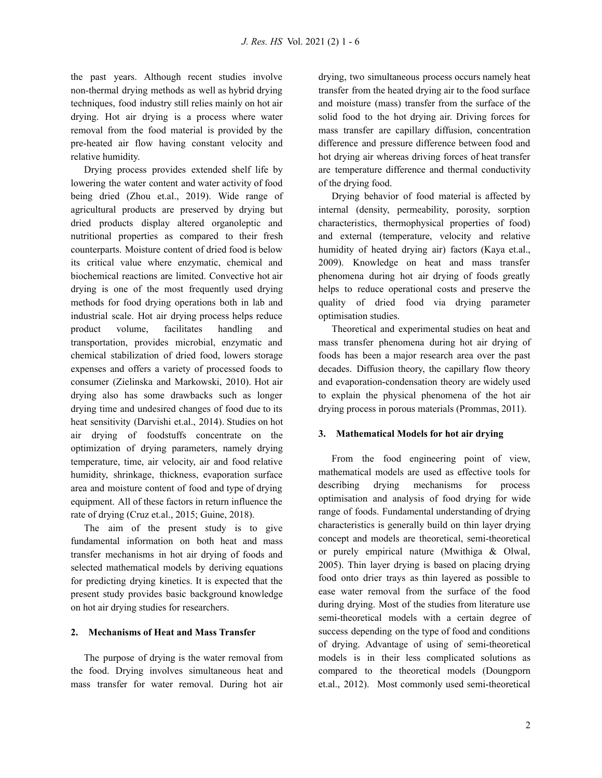the past years. Although recent studies involve non-thermal drying methods as well as hybrid drying techniques, food industry still relies mainly on hot air drying. Hot air drying is a process where water removal from the food material is provided by the pre-heated air flow having constant velocity and relative humidity.

Drying process provides extended shelf life by lowering the water content and water activity of food being dried (Zhou et.al., 2019). Wide range of agricultural products are preserved by drying but dried products display altered organoleptic and nutritional properties as compared to their fresh counterparts. Moisture content of dried food is below its critical value where enzymatic, chemical and biochemical reactions are limited. Convective hot air drying is one of the most frequently used drying methods for food drying operations both in lab and industrial scale. Hot air drying process helps reduce product volume, facilitates handling and transportation, provides microbial, enzymatic and chemical stabilization of dried food, lowers storage expenses and offers a variety of processed foods to consumer (Zielinska and Markowski, 2010). Hot air drying also has some drawbacks such as longer drying time and undesired changes of food due to its heat sensitivity (Darvishi et.al., 2014). Studies on hot air drying of foodstuffs concentrate on the optimization of drying parameters, namely drying temperature, time, air velocity, air and food relative humidity, shrinkage, thickness, evaporation surface area and moisture content of food and type of drying equipment. All of these factors in return influence the rate of drying (Cruz et.al., 2015; Guine, 2018).

The aim of the present study is to give fundamental information on both heat and mass transfer mechanisms in hot air drying of foods and selected mathematical models by deriving equations for predicting drying kinetics. It is expected that the present study provides basic background knowledge on hot air drying studies for researchers.

# **2. Mechanisms of Heat and Mass Transfer**

The purpose of drying is the water removal from the food. Drying involves simultaneous heat and mass transfer for water removal. During hot air drying, two simultaneous process occurs namely heat transfer from the heated drying air to the food surface and moisture (mass) transfer from the surface of the solid food to the hot drying air. Driving forces for mass transfer are capillary diffusion, concentration difference and pressure difference between food and hot drying air whereas driving forces of heat transfer are temperature difference and thermal conductivity of the drying food.

Drying behavior of food material is affected by internal (density, permeability, porosity, sorption characteristics, thermophysical properties of food) and external (temperature, velocity and relative humidity of heated drying air) factors (Kaya et.al., 2009). Knowledge on heat and mass transfer phenomena during hot air drying of foods greatly helps to reduce operational costs and preserve the quality of dried food via drying parameter optimisation studies.

Theoretical and experimental studies on heat and mass transfer phenomena during hot air drying of foods has been a major research area over the past decades. Diffusion theory, the capillary flow theory and evaporation-condensation theory are widely used to explain the physical phenomena of the hot air drying process in porous materials (Prommas, 2011).

#### **3. Mathematical Models for hot air drying**

From the food engineering point of view, mathematical models are used as effective tools for describing drying mechanisms for process optimisation and analysis of food drying for wide range of foods. Fundamental understanding of drying characteristics is generally build on thin layer drying concept and models are theoretical, semi-theoretical or purely empirical nature (Mwithiga & Olwal, 2005). Thin layer drying is based on placing drying food onto drier trays as thin layered as possible to ease water removal from the surface of the food during drying. Most of the studies from literature use semi-theoretical models with a certain degree of success depending on the type of food and conditions of drying. Advantage of using of semi-theoretical models is in their less complicated solutions as compared to the theoretical models (Doungporn et.al., 2012). Most commonly used semi-theoretical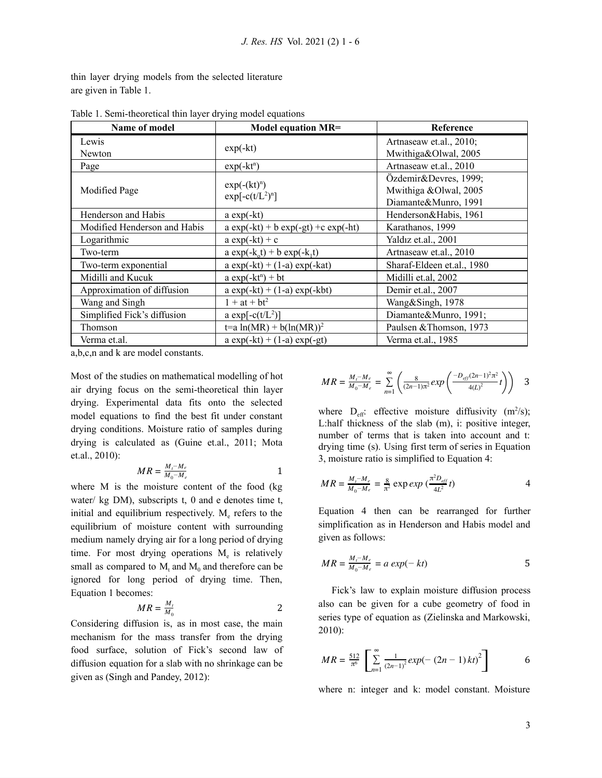thin layer drying models from the selected literature are given in Table 1.

| Name of model                | <b>Model equation MR=</b>                 | Reference                                                              |
|------------------------------|-------------------------------------------|------------------------------------------------------------------------|
| Lewis<br>Newton              | $exp(-kt)$                                | Artnaseaw et.al., 2010;<br>Mwithiga&Olwal, 2005                        |
| Page                         | $exp(-kt^n)$                              | Artnaseaw et.al., 2010                                                 |
| Modified Page                | $exp(- (kt)^n)$<br>$\exp[-c(t/L^2)^n]$    | Özdemir&Devres, 1999;<br>Mwithiga &Olwal, 2005<br>Diamante&Munro, 1991 |
| Henderson and Habis          | $a \exp(-kt)$                             | Henderson&Habis, 1961                                                  |
| Modified Henderson and Habis | $a \exp(-kt) + b \exp(-gt) + c \exp(-ht)$ | Karathanos, 1999                                                       |
| Logarithmic                  | $a \exp(-kt) + c$                         | Yaldız et.al., 2001                                                    |
| Two-term                     | $a \exp(-k_0 t) + b \exp(-k_1 t)$         | Artnaseaw et.al., 2010                                                 |
| Two-term exponential         | $a \exp(-kt) + (1-a) \exp(-kat)$          | Sharaf-Eldeen et.al., 1980                                             |
| Midilli and Kucuk            | $a \exp(-kt^n) + bt$                      | Midilli et.al, 2002                                                    |
| Approximation of diffusion   | $a \exp(-kt) + (1-a) \exp(-kbt)$          | Demir et.al., 2007                                                     |
| Wang and Singh               | $1 + at + bt^2$                           | Wang&Singh, 1978                                                       |
| Simplified Fick's diffusion  | a exp[-c(t/ $L^2$ )]                      | Diamante&Munro, 1991;                                                  |
| Thomson                      | $t=a \ln(MR) + b(\ln(MR))^2$              | Paulsen & Thomson, 1973                                                |
| Verma et.al.                 | $a \exp(-kt) + (1-a) \exp(-gt)$           | Verma et.al., 1985                                                     |

Table 1. Semi-theoretical thin layer drying model equations

a,b,c,n and k are model constants.

Most of the studies on mathematical modelling of hot air drying focus on the semi-theoretical thin layer drying. Experimental data fits onto the selected model equations to find the best fit under constant drying conditions. Moisture ratio of samples during drying is calculated as (Guine et.al., 2011; Mota et.al., 2010):

$$
MR = \frac{M_t - M_e}{M_0 - M_e} \tag{1}
$$

where M is the moisture content of the food (kg water/ kg DM), subscripts t, 0 and e denotes time t, initial and equilibrium respectively.  $M_e$  refers to the equilibrium of moisture content with surrounding medium namely drying air for a long period of drying time. For most drying operations  $M_e$  is relatively small as compared to  $M_t$  and  $M_0$  and therefore can be ignored for long period of drying time. Then, Equation 1 becomes:

$$
MR = \frac{M_t}{M_0} \tag{2}
$$

Considering diffusion is, as in most case, the main mechanism for the mass transfer from the drying food surface, solution of Fick's second law of diffusion equation for a slab with no shrinkage can be given as (Singh and Pandey, 2012):

$$
MR = \frac{M_t - M_e}{M_0 - M_e} = \sum_{n=1}^{\infty} \left( \frac{8}{(2n-1)\pi^2} exp\left( \frac{-D_{eff}(2n-1)^2 \pi^2}{4(L)^2} t \right) \right)
$$
 3

where  $D_{\text{eff}}$ : effective moisture diffusivity (m<sup>2</sup>/s); L:half thickness of the slab (m), i: positive integer, number of terms that is taken into account and t: drying time (s). Using first term of series in Equation 3, moisture ratio is simplified to Equation 4:

$$
MR = \frac{M_t - M_e}{M_0 - M_e} = \frac{8}{\pi^2} \exp \exp (\frac{\pi^2 D_{eff}}{4L^2} t) \tag{4}
$$

Equation 4 then can be rearranged for further simplification as in Henderson and Habis model and given as follows:

$$
MR = \frac{M_t - M_e}{M_0 - M_e} = a \exp(-kt) \tag{5}
$$

Fick's law to explain moisture diffusion process also can be given for a cube geometry of food in series type of equation as (Zielinska and Markowski, 2010):

$$
MR = \frac{512}{\pi^6} \left[ \sum_{n=1}^{\infty} \frac{1}{(2n-1)^2} exp(-(2n-1)kt)^2 \right]
$$
 6

where n: integer and k: model constant. Moisture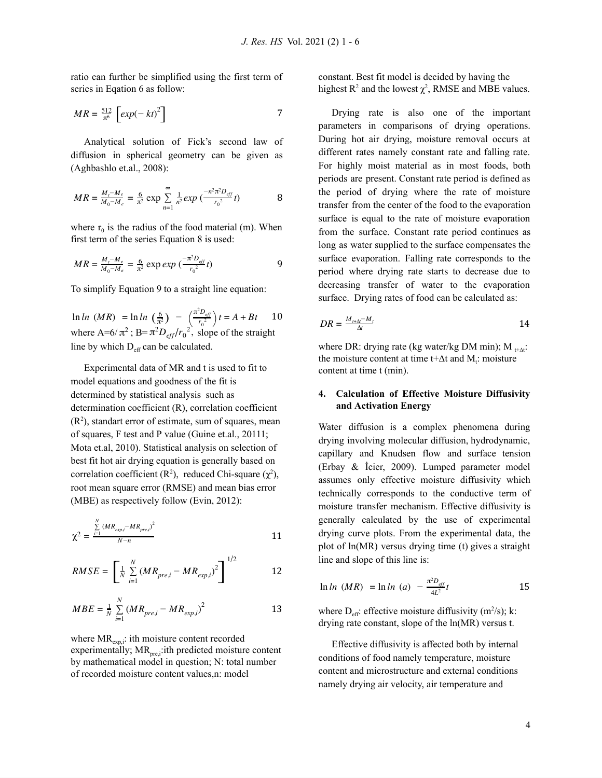ratio can further be simplified using the first term of series in Eqation 6 as follow:

$$
MR = \frac{512}{\pi^6} \left[ exp(-kt)^2 \right] \tag{7}
$$

Analytical solution of Fick's second law of diffusion in spherical geometry can be given as (Aghbashlo et.al., 2008):

$$
MR = \frac{M_t - M_e}{M_0 - M_e} = \frac{6}{\pi^2} \exp \sum_{n=1}^{\infty} \frac{1}{n^2} \exp \left( \frac{-n^2 \pi^2 D_{eff}}{r_0^2} t \right)
$$
 8

where  $r_0$  is the radius of the food material (m). When first term of the series Equation 8 is used:

$$
MR = \frac{M_t - M_e}{M_0 - M_e} = \frac{6}{\pi^2} \exp \exp \left(\frac{-\pi^2 D_{\text{eff}}}{r_0^2} t\right)
$$

To simplify Equation 9 to a straight line equation:

 $\ln \ln (MR) = \ln \ln \left( \frac{6}{\pi^2} \right) - \left( \frac{\pi^2 D_{eff}}{r_0^2} \right) t = A + Bt$  10 where A= $6/\pi^2$ ; B= $\pi^2 D_{eff}/r_0^2$ , slope of the straight line by which  $D_{\text{eff}}$  can be calculated.

Experimental data of MR and t is used to fit to model equations and goodness of the fit is determined by statistical analysis such as determination coefficient (R), correlation coefficient  $(R<sup>2</sup>)$ , standart error of estimate, sum of squares, mean of squares, F test and P value (Guine et.al., 20111; Mota et.al, 2010). Statistical analysis on selection of best fit hot air drying equation is generally based on correlation coefficient  $(R^2)$ , reduced Chi-square  $(\chi^2)$ , root mean square error (RMSE) and mean bias error (MBE) as respectively follow (Evin, 2012):

$$
\chi^2 = \frac{\sum_{i=1}^{N} (MR_{exp,i} - MR_{pre,i})^2}{N - n}
$$
 11

$$
RMSE = \left[\frac{1}{N} \sum_{i=1}^{N} (MR_{pre,i} - MR_{exp,i})^2\right]^{1/2}
$$
 12

$$
MBE = \frac{1}{N} \sum_{i=1}^{N} (MR_{pre,i} - MR_{exp,i})^2
$$
 13

where  $MR_{\text{expl}}$ : ith moisture content recorded experimentally;  $MR_{pre,i}$ :ith predicted moisture content by mathematical model in question; N: total number of recorded moisture content values,n: model

constant. Best fit model is decided by having the highest  $R^2$  and the lowest  $\chi^2$ , RMSE and MBE values.

Drying rate is also one of the important parameters in comparisons of drying operations. During hot air drying, moisture removal occurs at different rates namely constant rate and falling rate. For highly moist material as in most foods, both periods are present. Constant rate period is defined as the period of drying where the rate of moisture transfer from the center of the food to the evaporation surface is equal to the rate of moisture evaporation from the surface. Constant rate period continues as long as water supplied to the surface compensates the surface evaporation. Falling rate corresponds to the period where drying rate starts to decrease due to decreasing transfer of water to the evaporation surface. Drying rates of food can be calculated as:

$$
DR = \frac{M_{t+\Delta} - M_t}{\Delta t}
$$

where DR: drying rate (kg water/kg DM min); M  $_{t+<sub>Δt</sub>$ : the moisture content at time t+ $\Delta t$  and  $M_t$ : moisture content at time t (min).

# **4. Calculation of Effective Moisture Diffusivity and Activation Energy**

Water diffusion is a complex phenomena during drying involving molecular diffusion, hydrodynamic, capillary and Knudsen flow and surface tension (Erbay & İcier, 2009). Lumped parameter model assumes only effective moisture diffusivity which technically corresponds to the conductive term of moisture transfer mechanism. Effective diffusivity is generally calculated by the use of experimental drying curve plots. From the experimental data, the plot of ln(MR) versus drying time (t) gives a straight line and slope of this line is:

$$
\ln \ln (MR) = \ln \ln (a) - \frac{\pi^2 D_{\text{eff}}}{4L^2} t
$$
 15

where  $D_{\text{eff}}$ : effective moisture diffusivity (m<sup>2</sup>/s); k: drying rate constant, slope of the ln(MR) versus t.

Effective diffusivity is affected both by internal conditions of food namely temperature, moisture content and microstructure and external conditions namely drying air velocity, air temperature and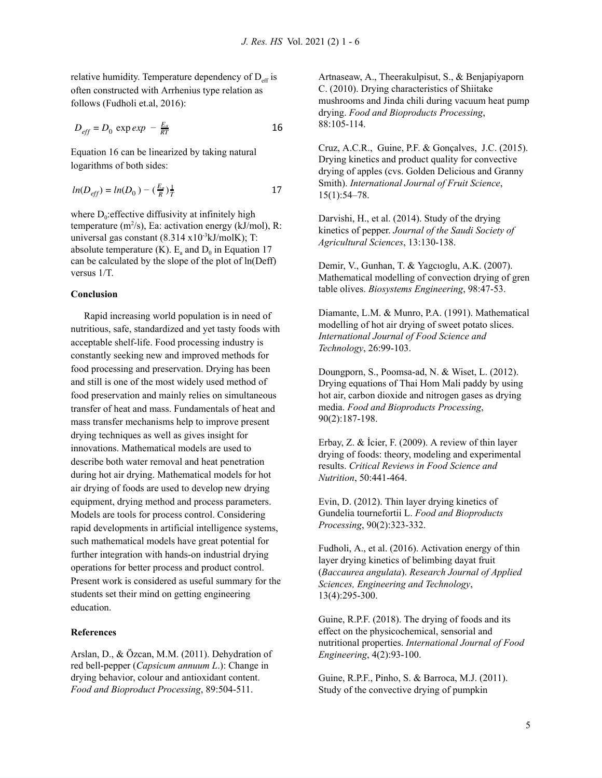relative humidity. Temperature dependency of  $D_{\text{eff}}$  is often constructed with Arrhenius type relation as follows (Fudholi et.al, 2016):

$$
D_{\text{eff}} = D_0 \exp \exp -\frac{E_a}{RT} \tag{16}
$$

Equation 16 can be linearized by taking natural logarithms of both sides:

$$
ln(D_{eff}) = ln(D_0) - (\frac{E_g}{R})\frac{1}{T}
$$

where  $D_0$ : effective diffusivity at infinitely high temperature  $(m^2/s)$ , Ea: activation energy (kJ/mol), R: universal gas constant  $(8.314 \times 10^{-3} \text{kJ/molK})$ ; T: absolute temperature (K).  $E_a$  and  $D_0$  in Equation 17 can be calculated by the slope of the plot of ln(Deff) versus 1/T.

#### **Conclusion**

Rapid increasing world population is in need of nutritious, safe, standardized and yet tasty foods with acceptable shelf-life. Food processing industry is constantly seeking new and improved methods for food processing and preservation. Drying has been and still is one of the most widely used method of food preservation and mainly relies on simultaneous transfer of heat and mass. Fundamentals of heat and mass transfer mechanisms help to improve present drying techniques as well as gives insight for innovations. Mathematical models are used to describe both water removal and heat penetration during hot air drying. Mathematical models for hot air drying of foods are used to develop new drying equipment, drying method and process parameters. Models are tools for process control. Considering rapid developments in artificial intelligence systems, such mathematical models have great potential for further integration with hands-on industrial drying operations for better process and product control. Present work is considered as useful summary for the students set their mind on getting engineering education.

# **References**

Arslan, D., & Özcan, M.M. (2011). Dehydration of red bell-pepper (*Capsicum annuum L*.): Change in drying behavior, colour and antioxidant content. *Food and Bioproduct Processing*, 89:504-511.

Artnaseaw, A., Theerakulpisut, S., & Benjapiyaporn C. (2010). Drying characteristics of Shiitake mushrooms and Jinda chili during vacuum heat pump drying. *Food and Bioproducts Processing*, 88:105-114.

Cruz, A.C.R., Guine, P.F. & Gonçalves, J.C. (2015). Drying kinetics and product quality for convective drying of apples (cvs. Golden Delicious and Granny Smith). *International Journal of Fruit Science*, 15(1):54–78.

Darvishi, H., et al. (2014). Study of the drying kinetics of pepper. *Journal of the Saudi Society of Agricultural Sciences*, 13:130-138.

Demir, V., Gunhan, T. & Yagcıoglu, A.K. (2007). Mathematical modelling of convection drying of gren table olives. *Biosystems Engineering*, 98:47-53.

Diamante, L.M. & Munro, P.A. (1991). Mathematical modelling of hot air drying of sweet potato slices. *International Journal of Food Science and Technology*, 26:99-103.

Doungporn, S., Poomsa-ad, N. & Wiset, L. (2012). Drying equations of Thai Hom Mali paddy by using hot air, carbon dioxide and nitrogen gases as drying media. *Food and Bioproducts Processing*, 90(2):187-198.

Erbay, Z. & İcier, F. (2009). A review of thin layer drying of foods: theory, modeling and experimental results. *Critical Reviews in Food Science and Nutrition*, 50:441-464.

Evin, D. (2012). Thin layer drying kinetics of Gundelia tournefortii L. *Food and Bioproducts Processing*, 90(2):323-332.

Fudholi, A., et al. (2016). Activation energy of thin layer drying kinetics of belimbing dayat fruit (*Baccaurea angulata*). *Research Journal of Applied Sciences, Engineering and Technology*, 13(4):295-300.

Guine, R.P.F. (2018). The drying of foods and its effect on the physicochemical, sensorial and nutritional properties. *International Journal of Food Engineering*, 4(2):93-100.

Guine, R.P.F., Pinho, S. & Barroca, M.J. (2011). Study of the convective drying of pumpkin